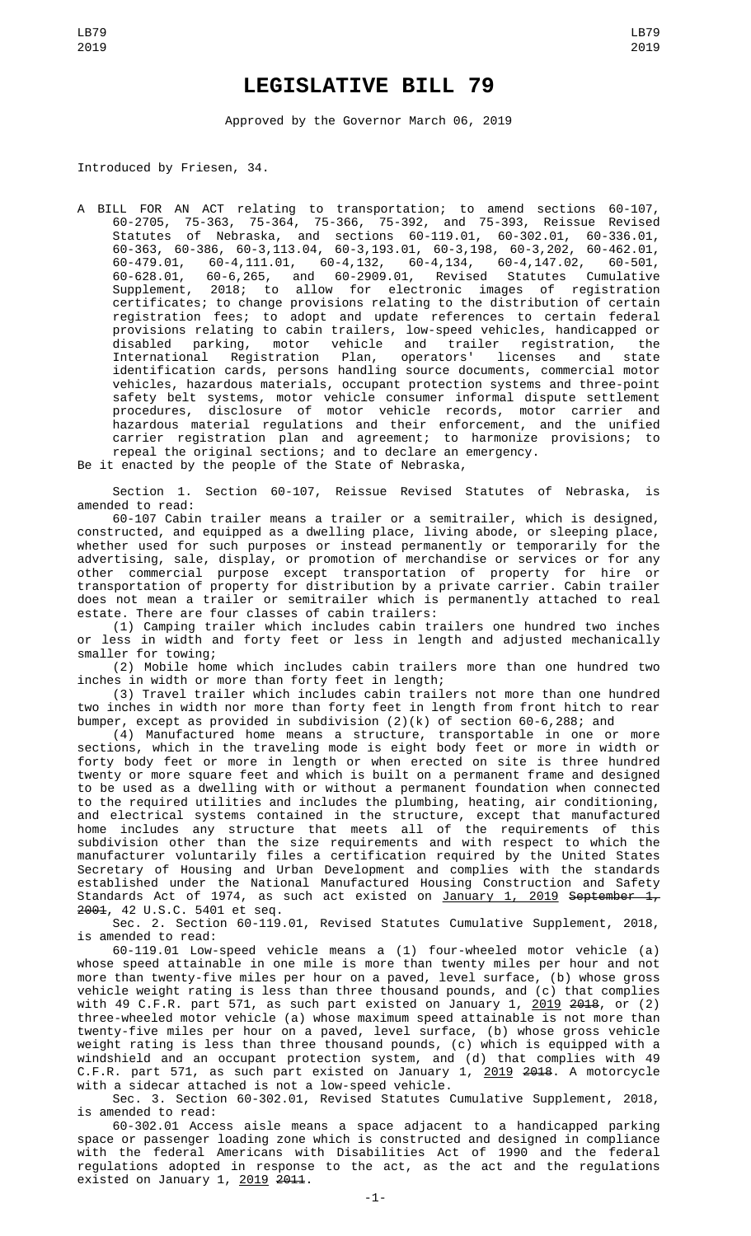## **LEGISLATIVE BILL 79**

Approved by the Governor March 06, 2019

Introduced by Friesen, 34.

A BILL FOR AN ACT relating to transportation; to amend sections 60-107, 60-2705, 75-363, 75-364, 75-366, 75-392, and 75-393, Reissue Revised Statutes of Nebraska, and sections 60-119.01, 60-302.01, 60-336.01, 60-363, 60-386, 60-3,113.04, 60-3,193.01, 60-3,198, 60-3,202, 60-462.01, 60-479.01, 60-4,111.01, 60-4,132, 60-4,134, 60-4,147.02, 60-501, 60-628.01, 60-6,265, and 60-2909.01, Revised Statutes Cumulative Supplement, 2018; to allow for electronic images of registration certificates; to change provisions relating to the distribution of certain registration fees; to adopt and update references to certain federal provisions relating to cabin trailers, low-speed vehicles, handicapped or disabled parking, motor vehicle and trailer registration, the International Registration Plan, operators' licenses and state identification cards, persons handling source documents, commercial motor vehicles, hazardous materials, occupant protection systems and three-point safety belt systems, motor vehicle consumer informal dispute settlement procedures, disclosure of motor vehicle records, motor carrier and hazardous material regulations and their enforcement, and the unified carrier registration plan and agreement; to harmonize provisions; to repeal the original sections; and to declare an emergency.

Be it enacted by the people of the State of Nebraska,

Section 1. Section 60-107, Reissue Revised Statutes of Nebraska, is amended to read:

60-107 Cabin trailer means a trailer or a semitrailer, which is designed, constructed, and equipped as a dwelling place, living abode, or sleeping place, whether used for such purposes or instead permanently or temporarily for the advertising, sale, display, or promotion of merchandise or services or for any other commercial purpose except transportation of property for hire or transportation of property for distribution by a private carrier. Cabin trailer does not mean a trailer or semitrailer which is permanently attached to real estate. There are four classes of cabin trailers:

(1) Camping trailer which includes cabin trailers one hundred two inches or less in width and forty feet or less in length and adjusted mechanically smaller for towing;

(2) Mobile home which includes cabin trailers more than one hundred two inches in width or more than forty feet in length;

(3) Travel trailer which includes cabin trailers not more than one hundred two inches in width nor more than forty feet in length from front hitch to rear bumper, except as provided in subdivision (2)(k) of section 60-6,288; and

(4) Manufactured home means a structure, transportable in one or more sections, which in the traveling mode is eight body feet or more in width or forty body feet or more in length or when erected on site is three hundred twenty or more square feet and which is built on a permanent frame and designed to be used as a dwelling with or without a permanent foundation when connected to the required utilities and includes the plumbing, heating, air conditioning, and electrical systems contained in the structure, except that manufactured home includes any structure that meets all of the requirements of this subdivision other than the size requirements and with respect to which the manufacturer voluntarily files a certification required by the United States Secretary of Housing and Urban Development and complies with the standards established under the National Manufactured Housing Construction and Safety Standards Act of 1974, as such act existed on <u>January 1, 2019</u> <del>September 1,</del> 2001, 42 U.S.C. 5401 et seq.

Sec. 2. Section 60-119.01, Revised Statutes Cumulative Supplement, 2018, is amended to read:

60-119.01 Low-speed vehicle means a (1) four-wheeled motor vehicle (a) whose speed attainable in one mile is more than twenty miles per hour and not more than twenty-five miles per hour on a paved, level surface, (b) whose gross vehicle weight rating is less than three thousand pounds, and (c) that complies with 49 C.F.R. part 571, as such part existed on January 1, <u>2019</u> <del>2018</del>, or (2) three-wheeled motor vehicle (a) whose maximum speed attainable is not more than twenty-five miles per hour on a paved, level surface, (b) whose gross vehicle weight rating is less than three thousand pounds, (c) which is equipped with a windshield and an occupant protection system, and (d) that complies with 49 C.F.R. part 571, as such part existed on January 1, <u>2019</u> <del>2018</del>. A motorcycle with a sidecar attached is not a low-speed vehicle.

Sec. 3. Section 60-302.01, Revised Statutes Cumulative Supplement, 2018, is amended to read:

60-302.01 Access aisle means a space adjacent to a handicapped parking space or passenger loading zone which is constructed and designed in compliance with the federal Americans with Disabilities Act of 1990 and the federal regulations adopted in response to the act, as the act and the regulations existed on January 1,  $2019$   $2011$ .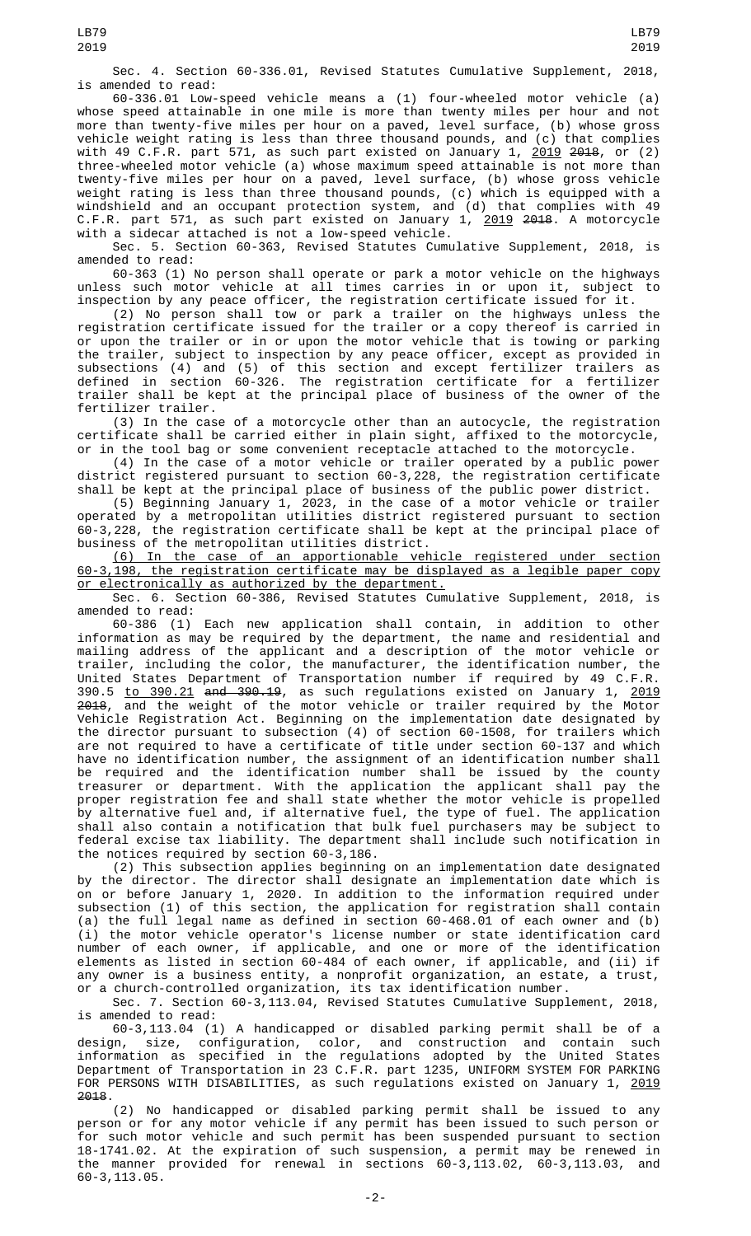Sec. 4. Section 60-336.01, Revised Statutes Cumulative Supplement, 2018, is amended to read:

60-336.01 Low-speed vehicle means a (1) four-wheeled motor vehicle (a) whose speed attainable in one mile is more than twenty miles per hour and not more than twenty-five miles per hour on a paved, level surface, (b) whose gross vehicle weight rating is less than three thousand pounds, and (c) that complies with 49 C.F.R. part 571, as such part existed on January 1,  $\frac{2019}{2018}$  2018, or (2) three-wheeled motor vehicle (a) whose maximum speed attainable is not more than twenty-five miles per hour on a paved, level surface, (b) whose gross vehicle weight rating is less than three thousand pounds, (c) which is equipped with a windshield and an occupant protection system, and (d) that complies with 49 C.F.R. part 571, as such part existed on January 1, <u>2019</u> <del>2018</del>. A motorcycle with a sidecar attached is not a low-speed vehicle.

Sec. 5. Section 60-363, Revised Statutes Cumulative Supplement, 2018, is amended to read:

60-363 (1) No person shall operate or park a motor vehicle on the highways unless such motor vehicle at all times carries in or upon it, subject to inspection by any peace officer, the registration certificate issued for it.

(2) No person shall tow or park a trailer on the highways unless the registration certificate issued for the trailer or a copy thereof is carried in or upon the trailer or in or upon the motor vehicle that is towing or parking the trailer, subject to inspection by any peace officer, except as provided in subsections (4) and (5) of this section and except fertilizer trailers as defined in section 60-326. The registration certificate for a fertilizer trailer shall be kept at the principal place of business of the owner of the fertilizer trailer.

(3) In the case of a motorcycle other than an autocycle, the registration certificate shall be carried either in plain sight, affixed to the motorcycle, or in the tool bag or some convenient receptacle attached to the motorcycle.

(4) In the case of a motor vehicle or trailer operated by a public power district registered pursuant to section 60-3,228, the registration certificate shall be kept at the principal place of business of the public power district.

(5) Beginning January 1, 2023, in the case of a motor vehicle or trailer operated by a metropolitan utilities district registered pursuant to section 60-3,228, the registration certificate shall be kept at the principal place of business of the metropolitan utilities district.

(6) In the case of an apportionable vehicle registered under section 60-3,198, the registration certificate may be displayed as a legible paper copy or electronically as authorized by the department.

Sec. 6. Section 60-386, Revised Statutes Cumulative Supplement, 2018, is amended to read:

60-386 (1) Each new application shall contain, in addition to other information as may be required by the department, the name and residential and mailing address of the applicant and a description of the motor vehicle or trailer, including the color, the manufacturer, the identification number, the United States Department of Transportation number if required by 49 C.F.R. 390.5 <u>to 390.21</u> <del>and 390.19</del>, as such regulations existed on January 1, <u>2019</u> 2018, and the weight of the motor vehicle or trailer required by the Motor Vehicle Registration Act. Beginning on the implementation date designated by the director pursuant to subsection (4) of section 60-1508, for trailers which are not required to have a certificate of title under section 60-137 and which have no identification number, the assignment of an identification number shall be required and the identification number shall be issued by the county treasurer or department. With the application the applicant shall pay the proper registration fee and shall state whether the motor vehicle is propelled by alternative fuel and, if alternative fuel, the type of fuel. The application shall also contain a notification that bulk fuel purchasers may be subject to federal excise tax liability. The department shall include such notification in the notices required by section 60-3,186.

(2) This subsection applies beginning on an implementation date designated by the director. The director shall designate an implementation date which is on or before January 1, 2020. In addition to the information required under subsection (1) of this section, the application for registration shall contain (a) the full legal name as defined in section 60-468.01 of each owner and (b) (i) the motor vehicle operator's license number or state identification card number of each owner, if applicable, and one or more of the identification elements as listed in section 60-484 of each owner, if applicable, and (ii) if any owner is a business entity, a nonprofit organization, an estate, a trust, or a church-controlled organization, its tax identification number.

Sec. 7. Section 60-3,113.04, Revised Statutes Cumulative Supplement, 2018, is amended to read:

60-3,113.04 (1) A handicapped or disabled parking permit shall be of a design, size, configuration, color, and construction and contain such information as specified in the regulations adopted by the United States Department of Transportation in 23 C.F.R. part 1235, UNIFORM SYSTEM FOR PARKING FOR PERSONS WITH DISABILITIES, as such regulations existed on January 1, 2019 2018.

(2) No handicapped or disabled parking permit shall be issued to any person or for any motor vehicle if any permit has been issued to such person or for such motor vehicle and such permit has been suspended pursuant to section 18-1741.02. At the expiration of such suspension, a permit may be renewed in the manner provided for renewal in sections 60-3,113.02, 60-3,113.03, and 60-3,113.05.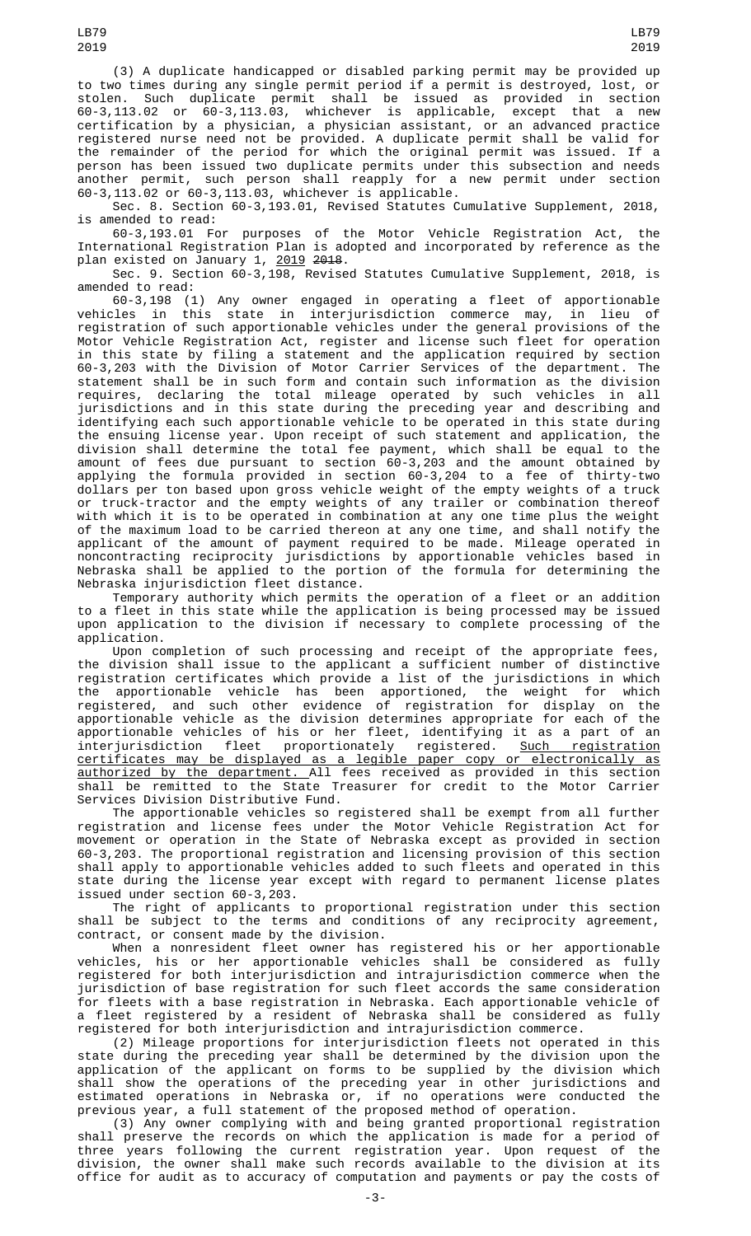(3) A duplicate handicapped or disabled parking permit may be provided up to two times during any single permit period if a permit is destroyed, lost, or stolen. Such duplicate permit shall be issued as provided in section 60-3,113.02 or 60-3,113.03, whichever is applicable, except that a new certification by a physician, a physician assistant, or an advanced practice registered nurse need not be provided. A duplicate permit shall be valid for the remainder of the period for which the original permit was issued. If a person has been issued two duplicate permits under this subsection and needs another permit, such person shall reapply for a new permit under section 60-3,113.02 or 60-3,113.03, whichever is applicable.

Sec. 8. Section 60-3,193.01, Revised Statutes Cumulative Supplement, 2018, is amended to read:

60-3,193.01 For purposes of the Motor Vehicle Registration Act, the International Registration Plan is adopted and incorporated by reference as the plan existed on January 1, 2019 2018.

Sec. 9. Section 60-3,198, Revised Statutes Cumulative Supplement, 2018, is amended to read:

60-3,198 (1) Any owner engaged in operating a fleet of apportionable vehicles in this state in interjurisdiction commerce may, in lieu of registration of such apportionable vehicles under the general provisions of the Motor Vehicle Registration Act, register and license such fleet for operation in this state by filing a statement and the application required by section 60-3,203 with the Division of Motor Carrier Services of the department. The statement shall be in such form and contain such information as the division requires, declaring the total mileage operated by such vehicles in all jurisdictions and in this state during the preceding year and describing and identifying each such apportionable vehicle to be operated in this state during the ensuing license year. Upon receipt of such statement and application, the division shall determine the total fee payment, which shall be equal to the amount of fees due pursuant to section 60-3,203 and the amount obtained by applying the formula provided in section 60-3,204 to a fee of thirty-two dollars per ton based upon gross vehicle weight of the empty weights of a truck or truck-tractor and the empty weights of any trailer or combination thereof with which it is to be operated in combination at any one time plus the weight of the maximum load to be carried thereon at any one time, and shall notify the applicant of the amount of payment required to be made. Mileage operated in noncontracting reciprocity jurisdictions by apportionable vehicles based in Nebraska shall be applied to the portion of the formula for determining the Nebraska injurisdiction fleet distance.

Temporary authority which permits the operation of a fleet or an addition to a fleet in this state while the application is being processed may be issued upon application to the division if necessary to complete processing of the application.

Upon completion of such processing and receipt of the appropriate fees, the division shall issue to the applicant a sufficient number of distinctive registration certificates which provide a list of the jurisdictions in which the apportionable vehicle has been apportioned, the weight for which registered, and such other evidence of registration for display on the apportionable vehicle as the division determines appropriate for each of the apportionable vehicles of his or her fleet, identifying it as a part of an interjurisdiction fleet proportionately registered. <u>Such registration</u> certificates may be displayed as a legible paper copy or electronically as authorized by the department. All fees received as provided in this section shall be remitted to the State Treasurer for credit to the Motor Carrier Services Division Distributive Fund.

The apportionable vehicles so registered shall be exempt from all further registration and license fees under the Motor Vehicle Registration Act for movement or operation in the State of Nebraska except as provided in section 60-3,203. The proportional registration and licensing provision of this section shall apply to apportionable vehicles added to such fleets and operated in this state during the license year except with regard to permanent license plates issued under section 60-3,203.

The right of applicants to proportional registration under this section shall be subject to the terms and conditions of any reciprocity agreement, contract, or consent made by the division.

When a nonresident fleet owner has registered his or her apportionable vehicles, his or her apportionable vehicles shall be considered as fully registered for both interjurisdiction and intrajurisdiction commerce when the jurisdiction of base registration for such fleet accords the same consideration for fleets with a base registration in Nebraska. Each apportionable vehicle of a fleet registered by a resident of Nebraska shall be considered as fully registered for both interjurisdiction and intrajurisdiction commerce.

(2) Mileage proportions for interjurisdiction fleets not operated in this state during the preceding year shall be determined by the division upon the application of the applicant on forms to be supplied by the division which shall show the operations of the preceding year in other jurisdictions and estimated operations in Nebraska or, if no operations were conducted the previous year, a full statement of the proposed method of operation.

(3) Any owner complying with and being granted proportional registration shall preserve the records on which the application is made for a period of three years following the current registration year. Upon request of the division, the owner shall make such records available to the division at its office for audit as to accuracy of computation and payments or pay the costs of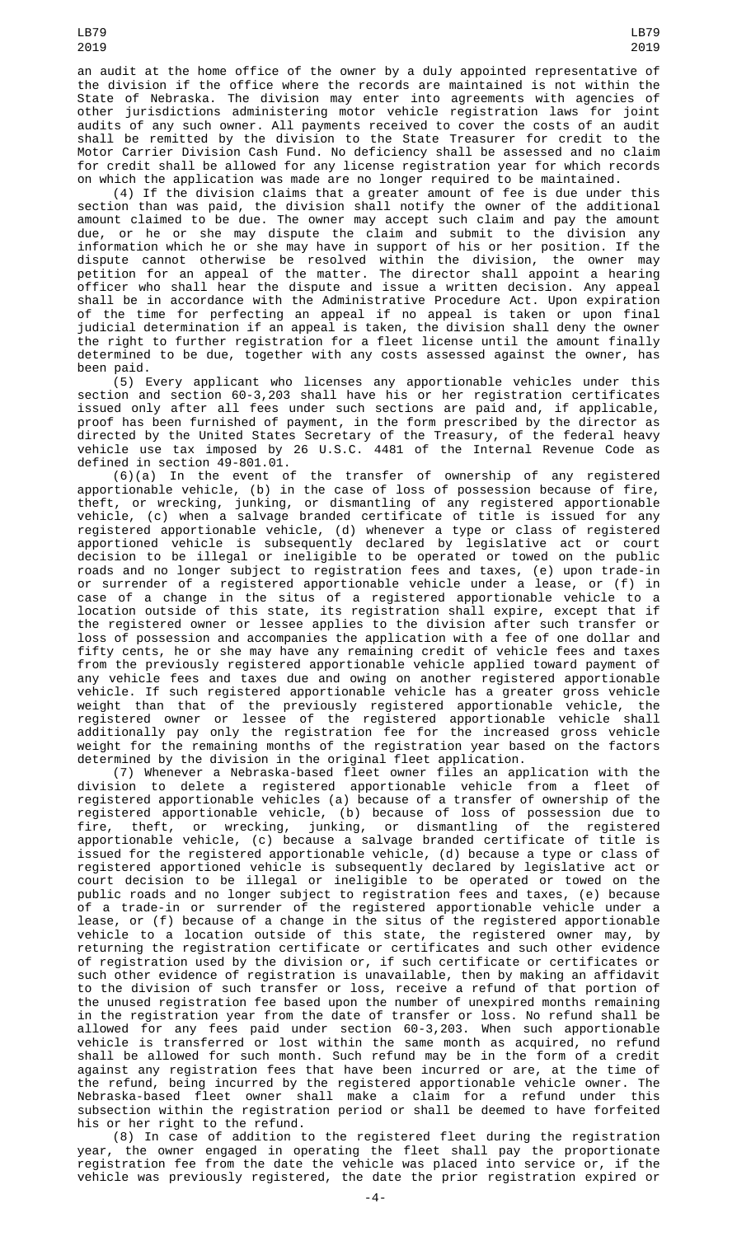an audit at the home office of the owner by a duly appointed representative of the division if the office where the records are maintained is not within the State of Nebraska. The division may enter into agreements with agencies of other jurisdictions administering motor vehicle registration laws for joint audits of any such owner. All payments received to cover the costs of an audit shall be remitted by the division to the State Treasurer for credit to the Motor Carrier Division Cash Fund. No deficiency shall be assessed and no claim for credit shall be allowed for any license registration year for which records on which the application was made are no longer required to be maintained.

(4) If the division claims that a greater amount of fee is due under this section than was paid, the division shall notify the owner of the additional amount claimed to be due. The owner may accept such claim and pay the amount due, or he or she may dispute the claim and submit to the division any information which he or she may have in support of his or her position. If the dispute cannot otherwise be resolved within the division, the owner may petition for an appeal of the matter. The director shall appoint a hearing officer who shall hear the dispute and issue a written decision. Any appeal shall be in accordance with the Administrative Procedure Act. Upon expiration of the time for perfecting an appeal if no appeal is taken or upon final judicial determination if an appeal is taken, the division shall deny the owner the right to further registration for a fleet license until the amount finally determined to be due, together with any costs assessed against the owner, has been paid.

(5) Every applicant who licenses any apportionable vehicles under this section and section 60-3,203 shall have his or her registration certificates issued only after all fees under such sections are paid and, if applicable, proof has been furnished of payment, in the form prescribed by the director as directed by the United States Secretary of the Treasury, of the federal heavy vehicle use tax imposed by 26 U.S.C. 4481 of the Internal Revenue Code as defined in section 49-801.01.

(6)(a) In the event of the transfer of ownership of any registered apportionable vehicle, (b) in the case of loss of possession because of fire, theft, or wrecking, junking, or dismantling of any registered apportionable vehicle, (c) when a salvage branded certificate of title is issued for any registered apportionable vehicle, (d) whenever a type or class of registered apportioned vehicle is subsequently declared by legislative act or court decision to be illegal or ineligible to be operated or towed on the public roads and no longer subject to registration fees and taxes, (e) upon trade-in or surrender of a registered apportionable vehicle under a lease, or (f) in case of a change in the situs of a registered apportionable vehicle to a location outside of this state, its registration shall expire, except that if the registered owner or lessee applies to the division after such transfer or loss of possession and accompanies the application with a fee of one dollar and fifty cents, he or she may have any remaining credit of vehicle fees and taxes from the previously registered apportionable vehicle applied toward payment of any vehicle fees and taxes due and owing on another registered apportionable vehicle. If such registered apportionable vehicle has a greater gross vehicle weight than that of the previously registered apportionable vehicle, the registered owner or lessee of the registered apportionable vehicle shall additionally pay only the registration fee for the increased gross vehicle weight for the remaining months of the registration year based on the factors determined by the division in the original fleet application.

(7) Whenever a Nebraska-based fleet owner files an application with the division to delete a registered apportionable vehicle from a fleet of registered apportionable vehicles (a) because of a transfer of ownership of the registered apportionable vehicle, (b) because of loss of possession due to fire, theft, or wrecking, junking, or dismantling of the registered apportionable vehicle, (c) because a salvage branded certificate of title is issued for the registered apportionable vehicle, (d) because a type or class of registered apportioned vehicle is subsequently declared by legislative act or court decision to be illegal or ineligible to be operated or towed on the public roads and no longer subject to registration fees and taxes, (e) because of a trade-in or surrender of the registered apportionable vehicle under a lease, or (f) because of a change in the situs of the registered apportionable vehicle to a location outside of this state, the registered owner may, by returning the registration certificate or certificates and such other evidence of registration used by the division or, if such certificate or certificates or such other evidence of registration is unavailable, then by making an affidavit to the division of such transfer or loss, receive a refund of that portion of the unused registration fee based upon the number of unexpired months remaining in the registration year from the date of transfer or loss. No refund shall be allowed for any fees paid under section 60-3,203. When such apportionable vehicle is transferred or lost within the same month as acquired, no refund shall be allowed for such month. Such refund may be in the form of a credit against any registration fees that have been incurred or are, at the time of the refund, being incurred by the registered apportionable vehicle owner. The Nebraska-based fleet owner shall make a claim for a refund under this subsection within the registration period or shall be deemed to have forfeited his or her right to the refund.

(8) In case of addition to the registered fleet during the registration year, the owner engaged in operating the fleet shall pay the proportionate registration fee from the date the vehicle was placed into service or, if the vehicle was previously registered, the date the prior registration expired or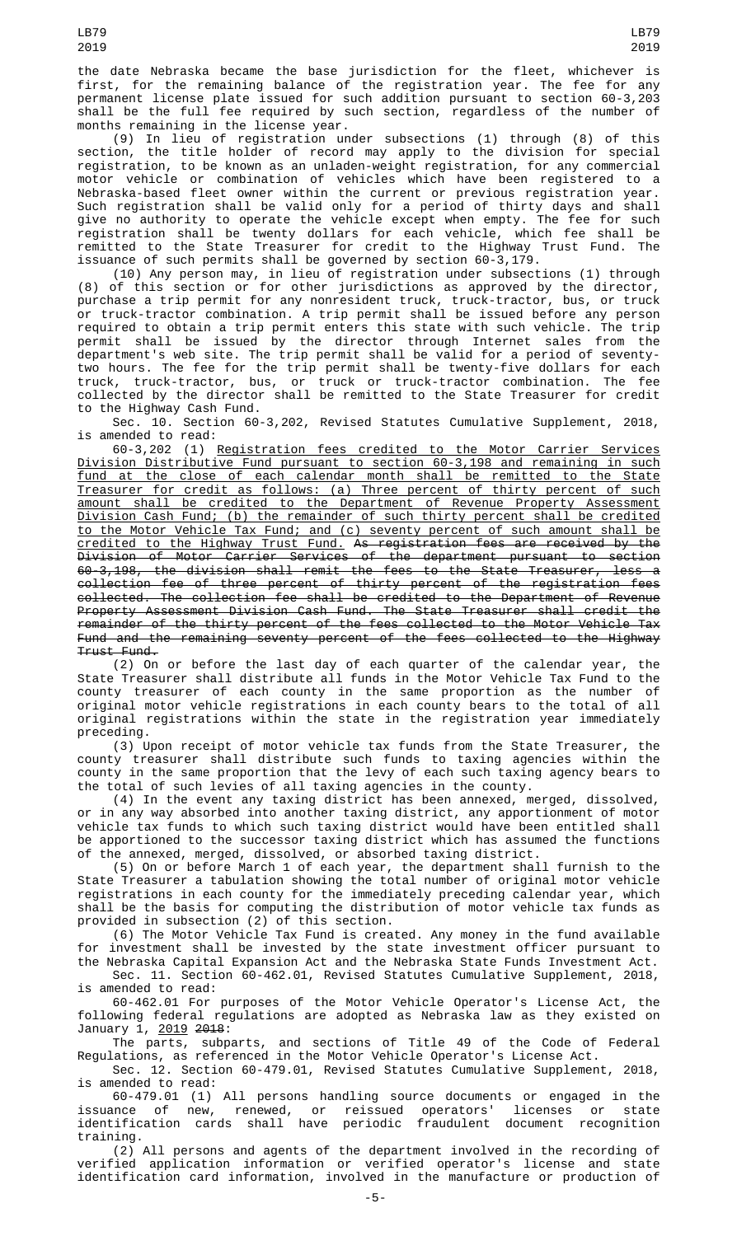the date Nebraska became the base jurisdiction for the fleet, whichever is first, for the remaining balance of the registration year. The fee for any permanent license plate issued for such addition pursuant to section 60-3,203 shall be the full fee required by such section, regardless of the number of months remaining in the license year.

(9) In lieu of registration under subsections (1) through (8) of this section, the title holder of record may apply to the division for special registration, to be known as an unladen-weight registration, for any commercial motor vehicle or combination of vehicles which have been registered to a Nebraska-based fleet owner within the current or previous registration year. Such registration shall be valid only for a period of thirty days and shall give no authority to operate the vehicle except when empty. The fee for such registration shall be twenty dollars for each vehicle, which fee shall be remitted to the State Treasurer for credit to the Highway Trust Fund. The issuance of such permits shall be governed by section 60-3,179.

(10) Any person may, in lieu of registration under subsections (1) through (8) of this section or for other jurisdictions as approved by the director, purchase a trip permit for any nonresident truck, truck-tractor, bus, or truck or truck-tractor combination. A trip permit shall be issued before any person required to obtain a trip permit enters this state with such vehicle. The trip permit shall be issued by the director through Internet sales from the department's web site. The trip permit shall be valid for a period of seventytwo hours. The fee for the trip permit shall be twenty-five dollars for each truck, truck-tractor, bus, or truck or truck-tractor combination. The fee collected by the director shall be remitted to the State Treasurer for credit to the Highway Cash Fund.

Sec. 10. Section 60-3,202, Revised Statutes Cumulative Supplement, 2018, is amended to read:

60-3,202 (1) Registration fees credited to the Motor Carrier Services Division Distributive Fund pursuant to section 60-3,198 and remaining in such fund at the close of each calendar month shall be remitted to the State Treasurer for credit as follows: (a) Three percent of thirty percent of such amount shall be credited to the Department of Revenue Property Assessment Division Cash Fund; (b) the remainder of such thirty percent shall be credited to the Motor Vehicle Tax Fund; and (c) seventy percent of such amount shall be credited to the Highway Trust Fund. As registration fees are received by the Division of Motor Carrier Services of the department pursuant to section 60-3,198, the division shall remit the fees to the State Treasurer, less a collection fee of three percent of thirty percent of the registration fees collected. The collection fee shall be credited to the Department of Revenue Property Assessment Division Cash Fund. The State Treasurer shall credit the remainder of the thirty percent of the fees collected to the Motor Vehicle Tax Fund and the remaining seventy percent of the fees collected to the Highway Trust Fund.

(2) On or before the last day of each quarter of the calendar year, the State Treasurer shall distribute all funds in the Motor Vehicle Tax Fund to the county treasurer of each county in the same proportion as the number of original motor vehicle registrations in each county bears to the total of all original registrations within the state in the registration year immediately preceding.

(3) Upon receipt of motor vehicle tax funds from the State Treasurer, the county treasurer shall distribute such funds to taxing agencies within the county in the same proportion that the levy of each such taxing agency bears to the total of such levies of all taxing agencies in the county.

(4) In the event any taxing district has been annexed, merged, dissolved, or in any way absorbed into another taxing district, any apportionment of motor vehicle tax funds to which such taxing district would have been entitled shall be apportioned to the successor taxing district which has assumed the functions of the annexed, merged, dissolved, or absorbed taxing district.

(5) On or before March 1 of each year, the department shall furnish to the State Treasurer a tabulation showing the total number of original motor vehicle registrations in each county for the immediately preceding calendar year, which shall be the basis for computing the distribution of motor vehicle tax funds as provided in subsection (2) of this section.

(6) The Motor Vehicle Tax Fund is created. Any money in the fund available for investment shall be invested by the state investment officer pursuant to the Nebraska Capital Expansion Act and the Nebraska State Funds Investment Act.

Sec. 11. Section 60-462.01, Revised Statutes Cumulative Supplement, 2018, is amended to read:

60-462.01 For purposes of the Motor Vehicle Operator's License Act, the following federal regulations are adopted as Nebraska law as they existed on January 1, 2019 2018:

The parts, subparts, and sections of Title 49 of the Code of Federal Regulations, as referenced in the Motor Vehicle Operator's License Act.

Sec. 12. Section 60-479.01, Revised Statutes Cumulative Supplement, 2018, is amended to read:

60-479.01 (1) All persons handling source documents or engaged in the issuance of new, renewed, or reissued operators' licenses or state identification cards shall have periodic fraudulent document recognition training.

(2) All persons and agents of the department involved in the recording of verified application information or verified operator's license and state identification card information, involved in the manufacture or production of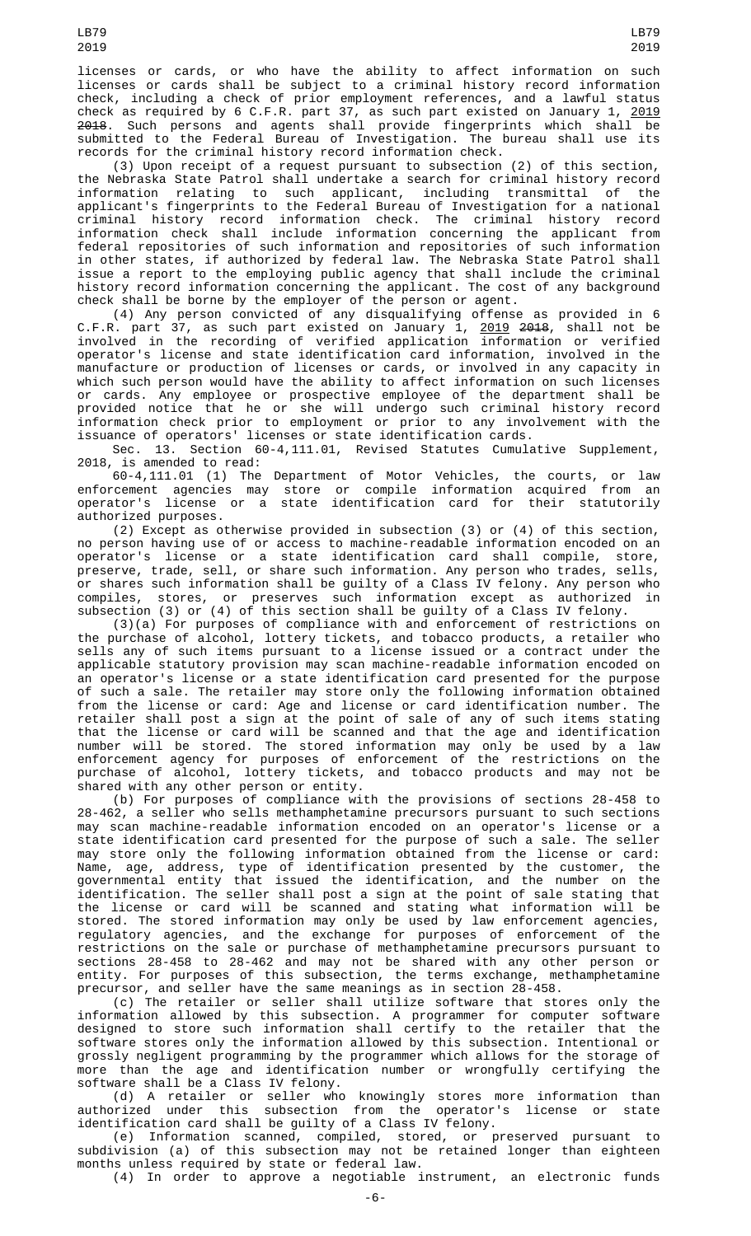licenses or cards, or who have the ability to affect information on such licenses or cards shall be subject to a criminal history record information check, including a check of prior employment references, and a lawful status check as required by 6 C.F.R. part 37, as such part existed on January 1, <u>2019</u> 2018. Such persons and agents shall provide fingerprints which shall be submitted to the Federal Bureau of Investigation. The bureau shall use its records for the criminal history record information check.

(3) Upon receipt of a request pursuant to subsection (2) of this section, the Nebraska State Patrol shall undertake a search for criminal history record information relating to such applicant, including transmittal of the applicant's fingerprints to the Federal Bureau of Investigation for a national criminal history record information check. The criminal history record information check shall include information concerning the applicant from federal repositories of such information and repositories of such information in other states, if authorized by federal law. The Nebraska State Patrol shall issue a report to the employing public agency that shall include the criminal history record information concerning the applicant. The cost of any background check shall be borne by the employer of the person or agent.

(4) Any person convicted of any disqualifying offense as provided in 6 C.F.R. part 37, as such part existed on January 1, <u>2019</u> <del>2018</del>, shall not be involved in the recording of verified application information or verified operator's license and state identification card information, involved in the manufacture or production of licenses or cards, or involved in any capacity in which such person would have the ability to affect information on such licenses or cards. Any employee or prospective employee of the department shall be provided notice that he or she will undergo such criminal history record information check prior to employment or prior to any involvement with the issuance of operators' licenses or state identification cards.

Sec. 13. Section 60-4,111.01, Revised Statutes Cumulative Supplement, 2018, is amended to read:

60-4,111.01 (1) The Department of Motor Vehicles, the courts, or law enforcement agencies may store or compile information acquired from an operator's license or a state identification card for their statutorily authorized purposes.

(2) Except as otherwise provided in subsection (3) or (4) of this section, no person having use of or access to machine-readable information encoded on an operator's license or a state identification card shall compile, store, preserve, trade, sell, or share such information. Any person who trades, sells, or shares such information shall be guilty of a Class IV felony. Any person who compiles, stores, or preserves such information except as authorized in subsection (3) or (4) of this section shall be guilty of a Class IV felony.

(3)(a) For purposes of compliance with and enforcement of restrictions on the purchase of alcohol, lottery tickets, and tobacco products, a retailer who sells any of such items pursuant to a license issued or a contract under the applicable statutory provision may scan machine-readable information encoded on an operator's license or a state identification card presented for the purpose of such a sale. The retailer may store only the following information obtained from the license or card: Age and license or card identification number. The retailer shall post a sign at the point of sale of any of such items stating that the license or card will be scanned and that the age and identification number will be stored. The stored information may only be used by a law enforcement agency for purposes of enforcement of the restrictions on the purchase of alcohol, lottery tickets, and tobacco products and may not be shared with any other person or entity.

(b) For purposes of compliance with the provisions of sections 28-458 to 28-462, a seller who sells methamphetamine precursors pursuant to such sections may scan machine-readable information encoded on an operator's license or a state identification card presented for the purpose of such a sale. The seller may store only the following information obtained from the license or card: Name, age, address, type of identification presented by the customer, the governmental entity that issued the identification, and the number on the identification. The seller shall post a sign at the point of sale stating that the license or card will be scanned and stating what information will be stored. The stored information may only be used by law enforcement agencies, regulatory agencies, and the exchange for purposes of enforcement of the restrictions on the sale or purchase of methamphetamine precursors pursuant to sections 28-458 to 28-462 and may not be shared with any other person or entity. For purposes of this subsection, the terms exchange, methamphetamine precursor, and seller have the same meanings as in section 28-458.

(c) The retailer or seller shall utilize software that stores only the information allowed by this subsection. A programmer for computer software designed to store such information shall certify to the retailer that the software stores only the information allowed by this subsection. Intentional or grossly negligent programming by the programmer which allows for the storage of more than the age and identification number or wrongfully certifying the software shall be a Class IV felony.

(d) A retailer or seller who knowingly stores more information than authorized under this subsection from the operator's license or state identification card shall be guilty of a Class IV felony.

(e) Information scanned, compiled, stored, or preserved pursuant to subdivision (a) of this subsection may not be retained longer than eighteen months unless required by state or federal law. (4) In order to approve a negotiable instrument, an electronic funds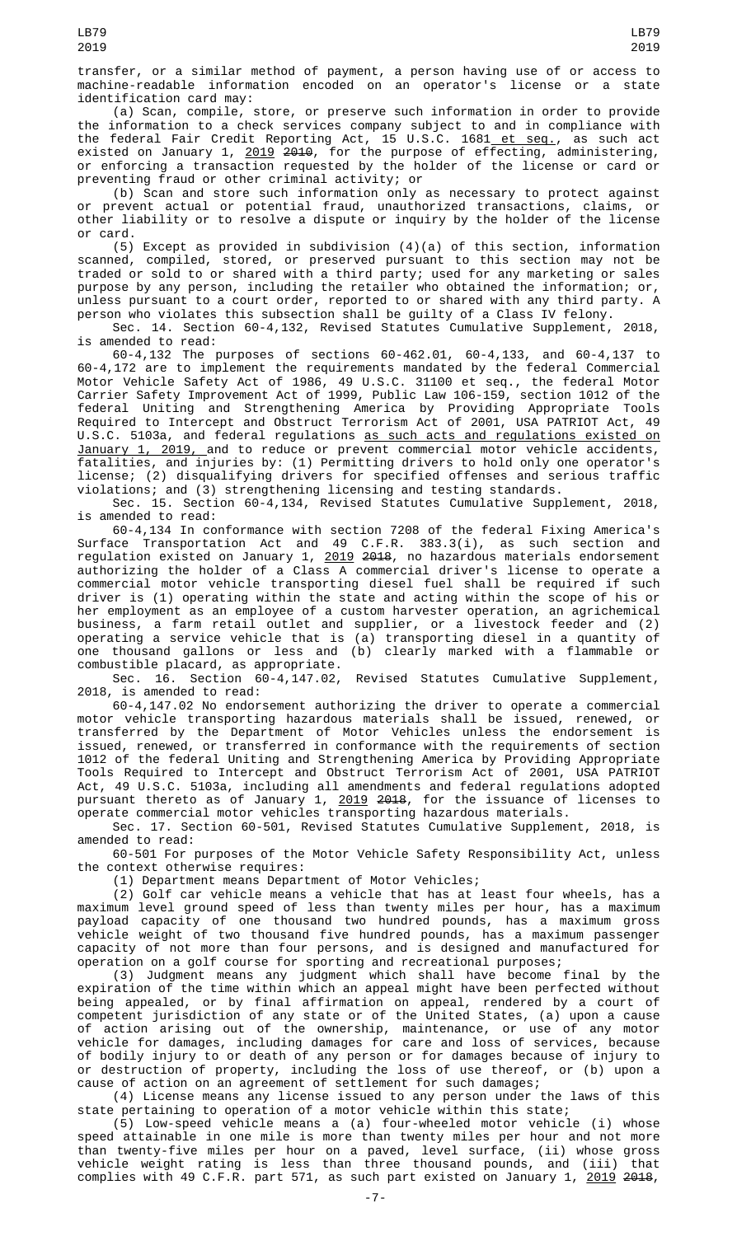transfer, or a similar method of payment, a person having use of or access to machine-readable information encoded on an operator's license or a state identification card may:

(a) Scan, compile, store, or preserve such information in order to provide the information to a check services company subject to and in compliance with the federal Fair Credit Reporting Act, 15 U.S.C. 1681<u> et seq.</u>, as such act existed on January 1, <u>2019</u> <del>2010</del>, for the purpose of effecting, administering, or enforcing a transaction requested by the holder of the license or card or preventing fraud or other criminal activity; or

(b) Scan and store such information only as necessary to protect against or prevent actual or potential fraud, unauthorized transactions, claims, or other liability or to resolve a dispute or inquiry by the holder of the license or card.

(5) Except as provided in subdivision (4)(a) of this section, information scanned, compiled, stored, or preserved pursuant to this section may not be traded or sold to or shared with a third party; used for any marketing or sales purpose by any person, including the retailer who obtained the information; or, unless pursuant to a court order, reported to or shared with any third party. A person who violates this subsection shall be guilty of a Class IV felony.

Sec. 14. Section 60-4,132, Revised Statutes Cumulative Supplement, 2018, is amended to read:

60-4,132 The purposes of sections 60-462.01, 60-4,133, and 60-4,137 to 60-4,172 are to implement the requirements mandated by the federal Commercial Motor Vehicle Safety Act of 1986, 49 U.S.C. 31100 et seq., the federal Motor Carrier Safety Improvement Act of 1999, Public Law 106-159, section 1012 of the federal Uniting and Strengthening America by Providing Appropriate Tools Required to Intercept and Obstruct Terrorism Act of 2001, USA PATRIOT Act, 49 U.S.C. 5103a, and federal regulations as such acts and regulations existed on January 1, 2019, and to reduce or prevent commercial motor vehicle accidents, fatalities, and injuries by: (1) Permitting drivers to hold only one operator's license; (2) disqualifying drivers for specified offenses and serious traffic violations; and (3) strengthening licensing and testing standards.

Sec. 15. Section 60-4,134, Revised Statutes Cumulative Supplement, 2018, is amended to read:

60-4,134 In conformance with section 7208 of the federal Fixing America's Surface Transportation Act and 49 C.F.R. 383.3(i), as such section and regulation existed on January 1, 2019 2018, no hazardous materials endorsement authorizing the holder of a Class A commercial driver's license to operate a commercial motor vehicle transporting diesel fuel shall be required if such driver is (1) operating within the state and acting within the scope of his or her employment as an employee of a custom harvester operation, an agrichemical business, a farm retail outlet and supplier, or a livestock feeder and (2) operating a service vehicle that is (a) transporting diesel in a quantity of one thousand gallons or less and (b) clearly marked with a flammable or combustible placard, as appropriate.

Sec. 16. Section 60-4,147.02, Revised Statutes Cumulative Supplement, 2018, is amended to read:

60-4,147.02 No endorsement authorizing the driver to operate a commercial motor vehicle transporting hazardous materials shall be issued, renewed, or transferred by the Department of Motor Vehicles unless the endorsement is issued, renewed, or transferred in conformance with the requirements of section 1012 of the federal Uniting and Strengthening America by Providing Appropriate Tools Required to Intercept and Obstruct Terrorism Act of 2001, USA PATRIOT Act, 49 U.S.C. 5103a, including all amendments and federal regulations adopted pursuant thereto as of January 1, <u>2019</u> <del>2018</del>, for the issuance of licenses to operate commercial motor vehicles transporting hazardous materials.

Sec. 17. Section 60-501, Revised Statutes Cumulative Supplement, 2018, is amended to read:

60-501 For purposes of the Motor Vehicle Safety Responsibility Act, unless the context otherwise requires:

(1) Department means Department of Motor Vehicles;

(2) Golf car vehicle means a vehicle that has at least four wheels, has a maximum level ground speed of less than twenty miles per hour, has a maximum payload capacity of one thousand two hundred pounds, has a maximum gross vehicle weight of two thousand five hundred pounds, has a maximum passenger capacity of not more than four persons, and is designed and manufactured for operation on a golf course for sporting and recreational purposes;

(3) Judgment means any judgment which shall have become final by the expiration of the time within which an appeal might have been perfected without being appealed, or by final affirmation on appeal, rendered by a court of competent jurisdiction of any state or of the United States, (a) upon a cause of action arising out of the ownership, maintenance, or use of any motor vehicle for damages, including damages for care and loss of services, because of bodily injury to or death of any person or for damages because of injury to or destruction of property, including the loss of use thereof, or (b) upon a cause of action on an agreement of settlement for such damages;

(4) License means any license issued to any person under the laws of this state pertaining to operation of a motor vehicle within this state;

(5) Low-speed vehicle means a (a) four-wheeled motor vehicle (i) whose speed attainable in one mile is more than twenty miles per hour and not more than twenty-five miles per hour on a paved, level surface, (ii) whose gross vehicle weight rating is less than three thousand pounds, and (iii) that complies with 49 C.F.R. part 571, as such part existed on January 1, <u>2019</u> <del>2018</del>,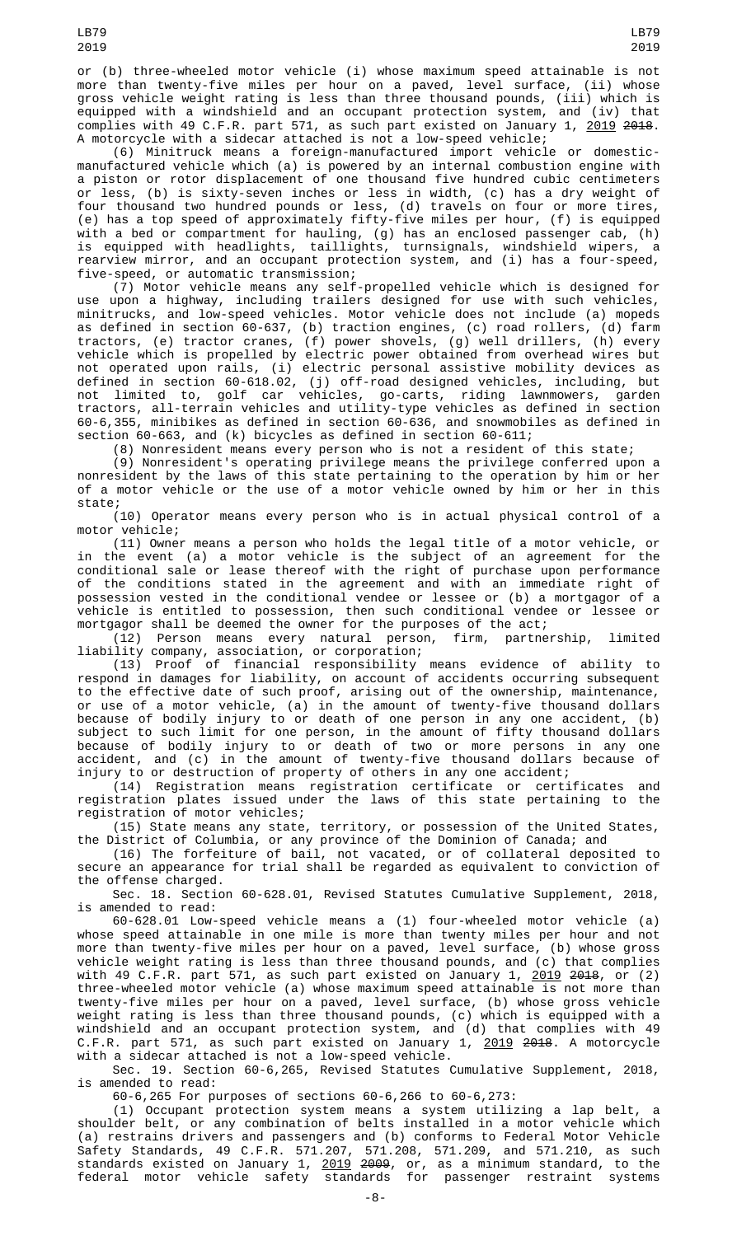or (b) three-wheeled motor vehicle (i) whose maximum speed attainable is not more than twenty-five miles per hour on a paved, level surface, (ii) whose gross vehicle weight rating is less than three thousand pounds, (iii) which is equipped with a windshield and an occupant protection system, and (iv) that complies with 49 C.F.R. part 571, as such part existed on January 1, <u>2019</u> <del>2018</del>. A motorcycle with a sidecar attached is not a low-speed vehicle;

(6) Minitruck means a foreign-manufactured import vehicle or domesticmanufactured vehicle which (a) is powered by an internal combustion engine with a piston or rotor displacement of one thousand five hundred cubic centimeters or less, (b) is sixty-seven inches or less in width, (c) has a dry weight of four thousand two hundred pounds or less, (d) travels on four or more tires, (e) has a top speed of approximately fifty-five miles per hour, (f) is equipped with a bed or compartment for hauling, (g) has an enclosed passenger cab, (h) is equipped with headlights, taillights, turnsignals, windshield wipers, a rearview mirror, and an occupant protection system, and (i) has a four-speed, five-speed, or automatic transmission;

(7) Motor vehicle means any self-propelled vehicle which is designed for use upon a highway, including trailers designed for use with such vehicles, minitrucks, and low-speed vehicles. Motor vehicle does not include (a) mopeds as defined in section 60-637, (b) traction engines, (c) road rollers, (d) farm tractors, (e) tractor cranes, (f) power shovels, (g) well drillers, (h) every vehicle which is propelled by electric power obtained from overhead wires but not operated upon rails, (i) electric personal assistive mobility devices as defined in section 60-618.02, (j) off-road designed vehicles, including, but not limited to, golf car vehicles, go-carts, riding lawnmowers, garden tractors, all-terrain vehicles and utility-type vehicles as defined in section 60-6,355, minibikes as defined in section 60-636, and snowmobiles as defined in section 60-663, and (k) bicycles as defined in section 60-611;

(8) Nonresident means every person who is not a resident of this state;

(9) Nonresident's operating privilege means the privilege conferred upon a nonresident by the laws of this state pertaining to the operation by him or her of a motor vehicle or the use of a motor vehicle owned by him or her in this state;

(10) Operator means every person who is in actual physical control of a motor vehicle;

(11) Owner means a person who holds the legal title of a motor vehicle, or in the event (a) a motor vehicle is the subject of an agreement for the conditional sale or lease thereof with the right of purchase upon performance of the conditions stated in the agreement and with an immediate right of possession vested in the conditional vendee or lessee or (b) a mortgagor of a vehicle is entitled to possession, then such conditional vendee or lessee or mortgagor shall be deemed the owner for the purposes of the act;

(12) Person means every natural person, firm, partnership, limited liability company, association, or corporation;

(13) Proof of financial responsibility means evidence of ability to respond in damages for liability, on account of accidents occurring subsequent to the effective date of such proof, arising out of the ownership, maintenance, or use of a motor vehicle, (a) in the amount of twenty-five thousand dollars because of bodily injury to or death of one person in any one accident, (b) subject to such limit for one person, in the amount of fifty thousand dollars because of bodily injury to or death of two or more persons in any one accident, and (c) in the amount of twenty-five thousand dollars because of injury to or destruction of property of others in any one accident;

(14) Registration means registration certificate or certificates and registration plates issued under the laws of this state pertaining to the registration of motor vehicles;

(15) State means any state, territory, or possession of the United States, the District of Columbia, or any province of the Dominion of Canada; and

(16) The forfeiture of bail, not vacated, or of collateral deposited to secure an appearance for trial shall be regarded as equivalent to conviction of the offense charged.

Sec. 18. Section 60-628.01, Revised Statutes Cumulative Supplement, 2018, is amended to read:

60-628.01 Low-speed vehicle means a (1) four-wheeled motor vehicle (a) whose speed attainable in one mile is more than twenty miles per hour and not more than twenty-five miles per hour on a paved, level surface, (b) whose gross vehicle weight rating is less than three thousand pounds, and (c) that complies with 49 C.F.R. part 571, as such part existed on January 1, <u>2019</u> <del>2018</del>, or (2) three-wheeled motor vehicle (a) whose maximum speed attainable is not more than twenty-five miles per hour on a paved, level surface, (b) whose gross vehicle weight rating is less than three thousand pounds, (c) which is equipped with a windshield and an occupant protection system, and (d) that complies with 49 C.F.R. part 571, as such part existed on January 1, 2019 2018. A motorcycle with a sidecar attached is not a low-speed vehicle.

Sec. 19. Section 60-6,265, Revised Statutes Cumulative Supplement, 2018, is amended to read:

60-6,265 For purposes of sections 60-6,266 to 60-6,273:

(1) Occupant protection system means a system utilizing a lap belt, a shoulder belt, or any combination of belts installed in a motor vehicle which (a) restrains drivers and passengers and (b) conforms to Federal Motor Vehicle Safety Standards, 49 C.F.R. 571.207, 571.208, 571.209, and 571.210, as such standards existed on January 1, <u>2019</u> <del>2009</del>, or, as a minimum standard, to the federal motor vehicle safety standards for passenger restraint systems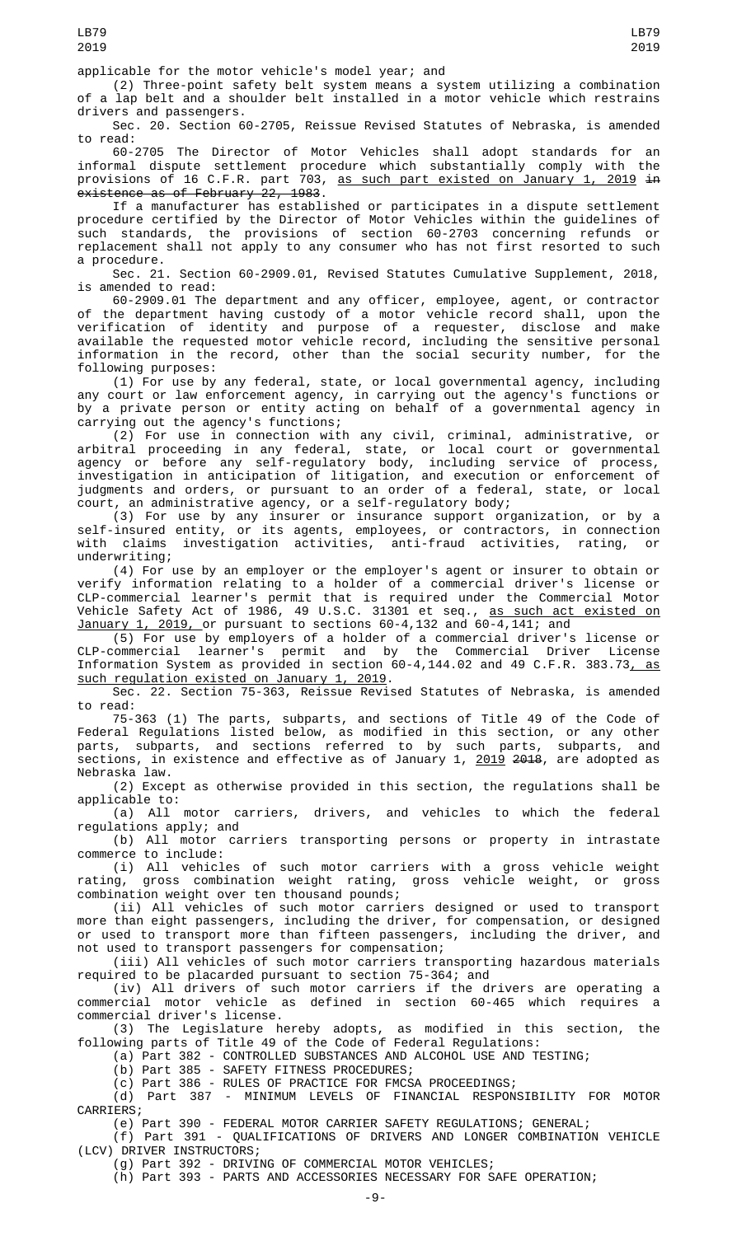applicable for the motor vehicle's model year; and

(2) Three-point safety belt system means a system utilizing a combination of a lap belt and a shoulder belt installed in a motor vehicle which restrains drivers and passengers.

Sec. 20. Section 60-2705, Reissue Revised Statutes of Nebraska, is amended to read:

60-2705 The Director of Motor Vehicles shall adopt standards for an informal dispute settlement procedure which substantially comply with the provisions of 16 C.F.R. part 703, <u>as such part existed on January 1, 2019</u> <del>in</del> existence as of February 22, 1983.

If a manufacturer has established or participates in a dispute settlement procedure certified by the Director of Motor Vehicles within the guidelines of such standards, the provisions of section 60-2703 concerning refunds or replacement shall not apply to any consumer who has not first resorted to such a procedure.

Sec. 21. Section 60-2909.01, Revised Statutes Cumulative Supplement, 2018, is amended to read:

60-2909.01 The department and any officer, employee, agent, or contractor of the department having custody of a motor vehicle record shall, upon the verification of identity and purpose of a requester, disclose and make available the requested motor vehicle record, including the sensitive personal information in the record, other than the social security number, for the following purposes:

(1) For use by any federal, state, or local governmental agency, including any court or law enforcement agency, in carrying out the agency's functions or by a private person or entity acting on behalf of a governmental agency in carrying out the agency's functions;

(2) For use in connection with any civil, criminal, administrative, or arbitral proceeding in any federal, state, or local court or governmental agency or before any self-regulatory body, including service of process, investigation in anticipation of litigation, and execution or enforcement of judgments and orders, or pursuant to an order of a federal, state, or local court, an administrative agency, or a self-regulatory body;

(3) For use by any insurer or insurance support organization, or by a self-insured entity, or its agents, employees, or contractors, in connection with claims investigation activities, anti-fraud activities, rating, or underwriting;

(4) For use by an employer or the employer's agent or insurer to obtain or verify information relating to a holder of a commercial driver's license or CLP-commercial learner's permit that is required under the Commercial Motor Vehicle Safety Act of 1986, 49 U.S.C. 31301 et seq., <u>as such act existed on</u> January 1, 2019, or pursuant to sections 60-4,132 and 60-4,141; and

(5) For use by employers of a holder of a commercial driver's license or CLP-commercial learner's permit and by the Commercial Driver License Information System as provided in section 60-4,144.02 and 49 C.F.R. 383.73, as such regulation existed on January 1, 2019.

Sec. 22. Section 75-363, Reissue Revised Statutes of Nebraska, is amended to read:

75-363 (1) The parts, subparts, and sections of Title 49 of the Code of Federal Regulations listed below, as modified in this section, or any other parts, subparts, and sections referred to by such parts, subparts, and sections, in existence and effective as of January 1, <u>2019</u> <del>2018</del>, are adopted as Nebraska law.

(2) Except as otherwise provided in this section, the regulations shall be applicable to:

(a) All motor carriers, drivers, and vehicles to which the federal regulations apply; and

(b) All motor carriers transporting persons or property in intrastate commerce to include:

(i) All vehicles of such motor carriers with a gross vehicle weight rating, gross combination weight rating, gross vehicle weight, or gross combination weight over ten thousand pounds;

(ii) All vehicles of such motor carriers designed or used to transport more than eight passengers, including the driver, for compensation, or designed or used to transport more than fifteen passengers, including the driver, and not used to transport passengers for compensation;

(iii) All vehicles of such motor carriers transporting hazardous materials required to be placarded pursuant to section 75-364; and

(iv) All drivers of such motor carriers if the drivers are operating a commercial motor vehicle as defined in section 60-465 which requires a commercial driver's license.

(3) The Legislature hereby adopts, as modified in this section, the following parts of Title 49 of the Code of Federal Regulations:

(a) Part 382 - CONTROLLED SUBSTANCES AND ALCOHOL USE AND TESTING;

(b) Part 385 - SAFETY FITNESS PROCEDURES;

(c) Part 386 - RULES OF PRACTICE FOR FMCSA PROCEEDINGS;

(d) Part 387 - MINIMUM LEVELS OF FINANCIAL RESPONSIBILITY FOR MOTOR CARRIERS;

(e) Part 390 - FEDERAL MOTOR CARRIER SAFETY REGULATIONS; GENERAL;

(f) Part 391 - QUALIFICATIONS OF DRIVERS AND LONGER COMBINATION VEHICLE (LCV) DRIVER INSTRUCTORS;

(g) Part 392 - DRIVING OF COMMERCIAL MOTOR VEHICLES;

(h) Part 393 - PARTS AND ACCESSORIES NECESSARY FOR SAFE OPERATION;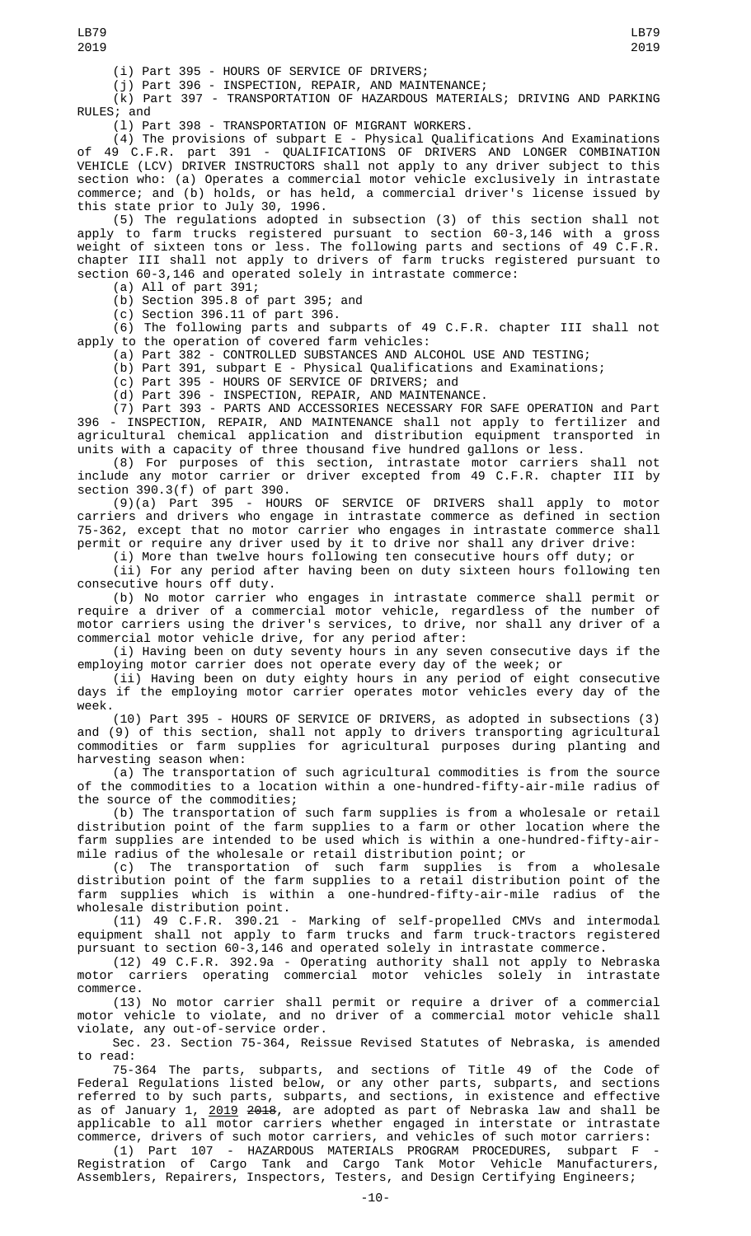(i) Part 395 - HOURS OF SERVICE OF DRIVERS;

(j) Part 396 - INSPECTION, REPAIR, AND MAINTENANCE;

(k) Part 397 - TRANSPORTATION OF HAZARDOUS MATERIALS; DRIVING AND PARKING RULES; and

(l) Part 398 - TRANSPORTATION OF MIGRANT WORKERS.

(4) The provisions of subpart E - Physical Qualifications And Examinations of 49 C.F.R. part 391 - QUALIFICATIONS OF DRIVERS AND LONGER COMBINATION VEHICLE (LCV) DRIVER INSTRUCTORS shall not apply to any driver subject to this section who: (a) Operates a commercial motor vehicle exclusively in intrastate commerce; and (b) holds, or has held, a commercial driver's license issued by this state prior to July 30, 1996.

(5) The regulations adopted in subsection (3) of this section shall not apply to farm trucks registered pursuant to section 60-3,146 with a gross weight of sixteen tons or less. The following parts and sections of 49 C.F.R. chapter III shall not apply to drivers of farm trucks registered pursuant to section 60-3,146 and operated solely in intrastate commerce:

(a) All of part 391;

(b) Section 395.8 of part 395; and

 $(c)$  Section 396.11 of part 396.

(6) The following parts and subparts of 49 C.F.R. chapter III shall not apply to the operation of covered farm vehicles:

(a) Part 382 - CONTROLLED SUBSTANCES AND ALCOHOL USE AND TESTING;

(b) Part 391, subpart E - Physical Qualifications and Examinations;

(c) Part 395 - HOURS OF SERVICE OF DRIVERS; and

(d) Part 396 - INSPECTION, REPAIR, AND MAINTENANCE.

(7) Part 393 - PARTS AND ACCESSORIES NECESSARY FOR SAFE OPERATION and Part 396 - INSPECTION, REPAIR, AND MAINTENANCE shall not apply to fertilizer and agricultural chemical application and distribution equipment transported in units with a capacity of three thousand five hundred gallons or less.

(8) For purposes of this section, intrastate motor carriers shall not include any motor carrier or driver excepted from 49 C.F.R. chapter III by section 390.3(f) of part 390.

(9)(a) Part 395 - HOURS OF SERVICE OF DRIVERS shall apply to motor carriers and drivers who engage in intrastate commerce as defined in section 75-362, except that no motor carrier who engages in intrastate commerce shall permit or require any driver used by it to drive nor shall any driver drive:<br>(i) More than twelve hours following ten consecutive hours off duty; or

(i) More than twelve hours following ten consecutive hours off duty; or

(ii) For any period after having been on duty sixteen hours following ten consecutive hours off duty.

(b) No motor carrier who engages in intrastate commerce shall permit or require a driver of a commercial motor vehicle, regardless of the number of motor carriers using the driver's services, to drive, nor shall any driver of a commercial motor vehicle drive, for any period after:

(i) Having been on duty seventy hours in any seven consecutive days if the employing motor carrier does not operate every day of the week; or

(ii) Having been on duty eighty hours in any period of eight consecutive days if the employing motor carrier operates motor vehicles every day of the week.

(10) Part 395 - HOURS OF SERVICE OF DRIVERS, as adopted in subsections (3) and (9) of this section, shall not apply to drivers transporting agricultural commodities or farm supplies for agricultural purposes during planting and harvesting season when:

(a) The transportation of such agricultural commodities is from the source of the commodities to a location within a one-hundred-fifty-air-mile radius of the source of the commodities;

(b) The transportation of such farm supplies is from a wholesale or retail distribution point of the farm supplies to a farm or other location where the farm supplies are intended to be used which is within a one-hundred-fifty-airmile radius of the wholesale or retail distribution point; or

(c) The transportation of such farm supplies is from a wholesale distribution point of the farm supplies to a retail distribution point of the farm supplies which is within a one-hundred-fifty-air-mile radius of the wholesale distribution point.

(11) 49 C.F.R. 390.21 - Marking of self-propelled CMVs and intermodal equipment shall not apply to farm trucks and farm truck-tractors registered pursuant to section 60-3,146 and operated solely in intrastate commerce.

(12) 49 C.F.R. 392.9a - Operating authority shall not apply to Nebraska motor carriers operating commercial motor vehicles solely in intrastate commerce.

(13) No motor carrier shall permit or require a driver of a commercial motor vehicle to violate, and no driver of a commercial motor vehicle shall violate, any out-of-service order.

Sec. 23. Section 75-364, Reissue Revised Statutes of Nebraska, is amended to read:

75-364 The parts, subparts, and sections of Title 49 of the Code of Federal Regulations listed below, or any other parts, subparts, and sections referred to by such parts, subparts, and sections, in existence and effective as of January 1, <u>2019</u> <del>2018</del>, are adopted as part of Nebraska law and shall be applicable to all motor carriers whether engaged in interstate or intrastate commerce, drivers of such motor carriers, and vehicles of such motor carriers:

(1) Part 107 - HAZARDOUS MATERIALS PROGRAM PROCEDURES, subpart F - Registration of Cargo Tank and Cargo Tank Motor Vehicle Manufacturers, Assemblers, Repairers, Inspectors, Testers, and Design Certifying Engineers;